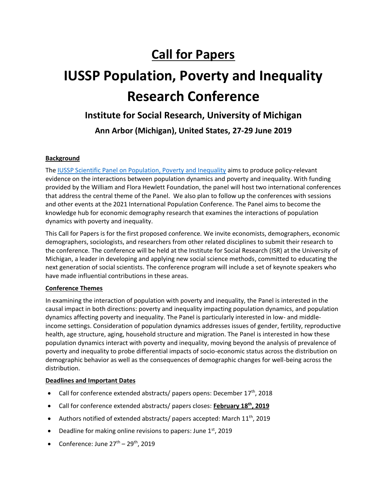## **Call for Papers**

# **IUSSP Population, Poverty and Inequality Research Conference**

### **Institute for Social Research, University of Michigan**

**Ann Arbor (Michigan), United States, 27-29 June 2019**

#### **Background**

The [IUSSP Scientific Panel on Population, Poverty and Inequality](https://iussp.org/en/panel/population-poverty-and-inequality) aims to produce policy-relevant evidence on the interactions between population dynamics and poverty and inequality. With funding provided by the William and Flora Hewlett Foundation, the panel will host two international conferences that address the central theme of the Panel. We also plan to follow up the conferences with sessions and other events at the 2021 International Population Conference. The Panel aims to become the knowledge hub for economic demography research that examines the interactions of population dynamics with poverty and inequality.

This Call for Papers is for the first proposed conference. We invite economists, demographers, economic demographers, sociologists, and researchers from other related disciplines to submit their research to the conference. The conference will be held at the Institute for Social Research (ISR) at the University of Michigan, a leader in developing and applying new social science methods, committed to educating the next generation of social scientists. The conference program will include a set of keynote speakers who have made influential contributions in these areas.

#### **Conference Themes**

In examining the interaction of population with poverty and inequality, the Panel is interested in the causal impact in both directions: poverty and inequality impacting population dynamics, and population dynamics affecting poverty and inequality. The Panel is particularly interested in low- and middleincome settings. Consideration of population dynamics addresses issues of gender, fertility, reproductive health, age structure, aging, household structure and migration. The Panel is interested in how these population dynamics interact with poverty and inequality, moving beyond the analysis of prevalence of poverty and inequality to probe differential impacts of socio-economic status across the distribution on demographic behavior as well as the consequences of demographic changes for well-being across the distribution.

#### **Deadlines and Important Dates**

- Call for conference extended abstracts/ papers opens: December  $17<sup>th</sup>$ , 2018
- Call for conference extended abstracts/ papers closes: **February 18 th , 2019**
- Authors notified of extended abstracts/ papers accepted: March  $11<sup>th</sup>$ , 2019
- Deadline for making online revisions to papers: June  $1<sup>st</sup>$ , 2019
- Conference: June  $27<sup>th</sup> 29<sup>th</sup>$ , 2019